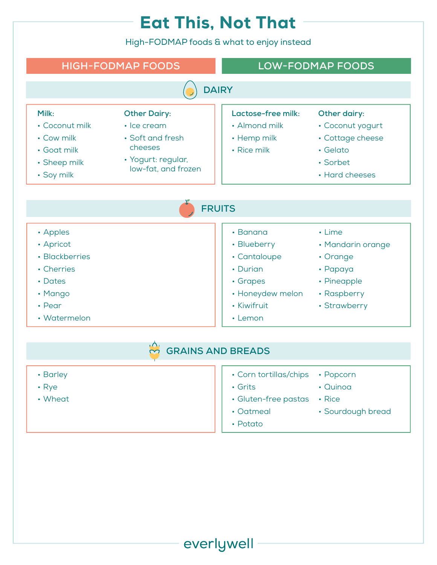## Eat This, Not That

High-FODMAP foods & what to enjoy instead



- Barley
- Rye
- Wheat
- Corn tortillas/chips
- Grits
- Gluten-free pastas Rice
- Oatmeal
- Potato

everlywell

- Quinoa
- 
- Sourdough bread
-